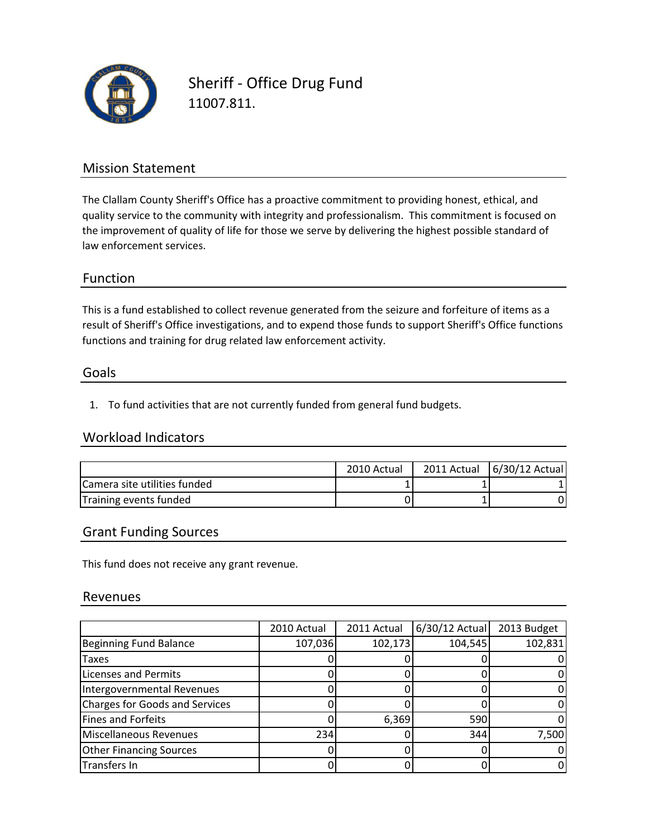

Sheriff ‐ Office Drug Fund 11007.811.

### Mission Statement

The Clallam County Sheriff's Office has a proactive commitment to providing honest, ethical, and quality service to the community with integrity and professionalism. This commitment is focused on the improvement of quality of life for those we serve by delivering the highest possible standard of law enforcement services.

#### Function

This is a fund established to collect revenue generated from the seizure and forfeiture of items as a functions and training for drug related law enforcement activity. result of Sheriff's Office investigations, and to expend those funds to support Sheriff's Office functions

#### Goals

1. To fund activities that are not currently funded from general fund budgets.

### Workload Indicators

|                                      | 2010 Actual | 2011 Actual | 6/30/12 Actual |
|--------------------------------------|-------------|-------------|----------------|
| <b>ICamera site utilities funded</b> |             |             |                |
| Training events funded               |             |             |                |

#### Grant Funding Sources

This fund does not receive any grant revenue.

#### Revenues

|                                | 2010 Actual | 2011 Actual | $6/30/12$ Actual | 2013 Budget |
|--------------------------------|-------------|-------------|------------------|-------------|
| Beginning Fund Balance         | 107,036     | 102,173     | 104,545          | 102,831     |
| Taxes                          |             |             |                  |             |
| <b>Licenses and Permits</b>    |             |             |                  |             |
| Intergovernmental Revenues     |             |             |                  |             |
| Charges for Goods and Services |             |             |                  |             |
| Fines and Forfeits             |             | 6,369       | 590              |             |
| Miscellaneous Revenues         | 234         |             | 344              | 7,500       |
| <b>Other Financing Sources</b> |             |             |                  |             |
| Transfers In                   |             |             |                  |             |